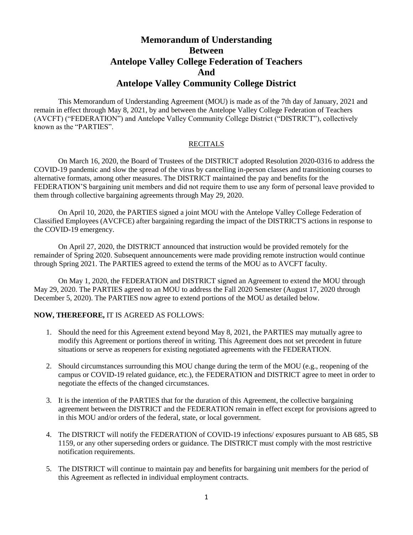## **Memorandum of Understanding Between Antelope Valley College Federation of Teachers And Antelope Valley Community College District**

This Memorandum of Understanding Agreement (MOU) is made as of the 7th day of January, 2021 and remain in effect through May 8, 2021, by and between the Antelope Valley College Federation of Teachers (AVCFT) ("FEDERATION") and Antelope Valley Community College District ("DISTRICT"), collectively known as the "PARTIES".

## **RECITALS**

On March 16, 2020, the Board of Trustees of the DISTRICT adopted Resolution 2020-0316 to address the COVID-19 pandemic and slow the spread of the virus by cancelling in-person classes and transitioning courses to alternative formats, among other measures. The DISTRICT maintained the pay and benefits for the FEDERATION'S bargaining unit members and did not require them to use any form of personal leave provided to them through collective bargaining agreements through May 29, 2020.

On April 10, 2020, the PARTIES signed a joint MOU with the Antelope Valley College Federation of Classified Employees (AVCFCE) after bargaining regarding the impact of the DISTRICT'S actions in response to the COVID-19 emergency.

On April 27, 2020, the DISTRICT announced that instruction would be provided remotely for the remainder of Spring 2020. Subsequent announcements were made providing remote instruction would continue through Spring 2021. The PARTIES agreed to extend the terms of the MOU as to AVCFT faculty.

On May 1, 2020, the FEDERATION and DISTRICT signed an Agreement to extend the MOU through May 29, 2020. The PARTIES agreed to an MOU to address the Fall 2020 Semester (August 17, 2020 through December 5, 2020). The PARTIES now agree to extend portions of the MOU as detailed below.

## **NOW, THEREFORE,** IT IS AGREED AS FOLLOWS:

- 1. Should the need for this Agreement extend beyond May 8, 2021, the PARTIES may mutually agree to modify this Agreement or portions thereof in writing. This Agreement does not set precedent in future situations or serve as reopeners for existing negotiated agreements with the FEDERATION.
- 2. Should circumstances surrounding this MOU change during the term of the MOU (e.g., reopening of the campus or COVID-19 related guidance, etc.), the FEDERATION and DISTRICT agree to meet in order to negotiate the effects of the changed circumstances.
- 3. It is the intention of the PARTIES that for the duration of this Agreement, the collective bargaining agreement between the DISTRICT and the FEDERATION remain in effect except for provisions agreed to in this MOU and/or orders of the federal, state, or local government.
- 4. The DISTRICT will notify the FEDERATION of COVID-19 infections/ exposures pursuant to AB 685, SB 1159, or any other superseding orders or guidance. The DISTRICT must comply with the most restrictive notification requirements.
- 5. The DISTRICT will continue to maintain pay and benefits for bargaining unit members for the period of this Agreement as reflected in individual employment contracts.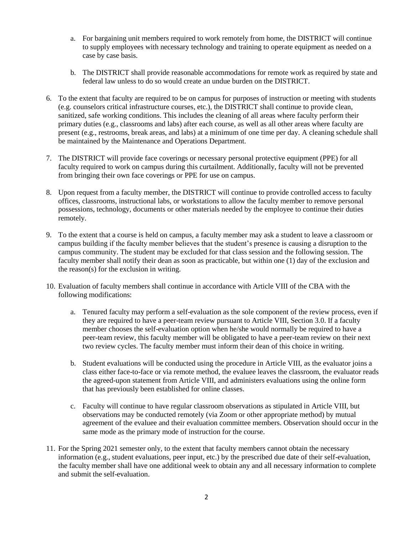- a. For bargaining unit members required to work remotely from home, the DISTRICT will continue to supply employees with necessary technology and training to operate equipment as needed on a case by case basis.
- b. The DISTRICT shall provide reasonable accommodations for remote work as required by state and federal law unless to do so would create an undue burden on the DISTRICT.
- 6. To the extent that faculty are required to be on campus for purposes of instruction or meeting with students (e.g. counselors critical infrastructure courses, etc.), the DISTRICT shall continue to provide clean, sanitized, safe working conditions. This includes the cleaning of all areas where faculty perform their primary duties (e.g., classrooms and labs) after each course, as well as all other areas where faculty are present (e.g., restrooms, break areas, and labs) at a minimum of one time per day. A cleaning schedule shall be maintained by the Maintenance and Operations Department.
- 7. The DISTRICT will provide face coverings or necessary personal protective equipment (PPE) for all faculty required to work on campus during this curtailment. Additionally, faculty will not be prevented from bringing their own face coverings or PPE for use on campus.
- 8. Upon request from a faculty member, the DISTRICT will continue to provide controlled access to faculty offices, classrooms, instructional labs, or workstations to allow the faculty member to remove personal possessions, technology, documents or other materials needed by the employee to continue their duties remotely.
- 9. To the extent that a course is held on campus, a faculty member may ask a student to leave a classroom or campus building if the faculty member believes that the student's presence is causing a disruption to the campus community. The student may be excluded for that class session and the following session. The faculty member shall notify their dean as soon as practicable, but within one (1) day of the exclusion and the reason(s) for the exclusion in writing.
- 10. Evaluation of faculty members shall continue in accordance with Article VIII of the CBA with the following modifications:
	- a. Tenured faculty may perform a self-evaluation as the sole component of the review process, even if they are required to have a peer-team review pursuant to Article VIII, Section 3.0. If a faculty member chooses the self-evaluation option when he/she would normally be required to have a peer-team review, this faculty member will be obligated to have a peer-team review on their next two review cycles. The faculty member must inform their dean of this choice in writing.
	- b. Student evaluations will be conducted using the procedure in Article VIII, as the evaluator joins a class either face-to-face or via remote method, the evaluee leaves the classroom, the evaluator reads the agreed-upon statement from Article VIII, and administers evaluations using the online form that has previously been established for online classes.
	- c. Faculty will continue to have regular classroom observations as stipulated in Article VIII, but observations may be conducted remotely (via Zoom or other appropriate method) by mutual agreement of the evaluee and their evaluation committee members. Observation should occur in the same mode as the primary mode of instruction for the course.
- 11. For the Spring 2021 semester only, to the extent that faculty members cannot obtain the necessary information (e.g., student evaluations, peer input, etc.) by the prescribed due date of their self-evaluation, the faculty member shall have one additional week to obtain any and all necessary information to complete and submit the self-evaluation.